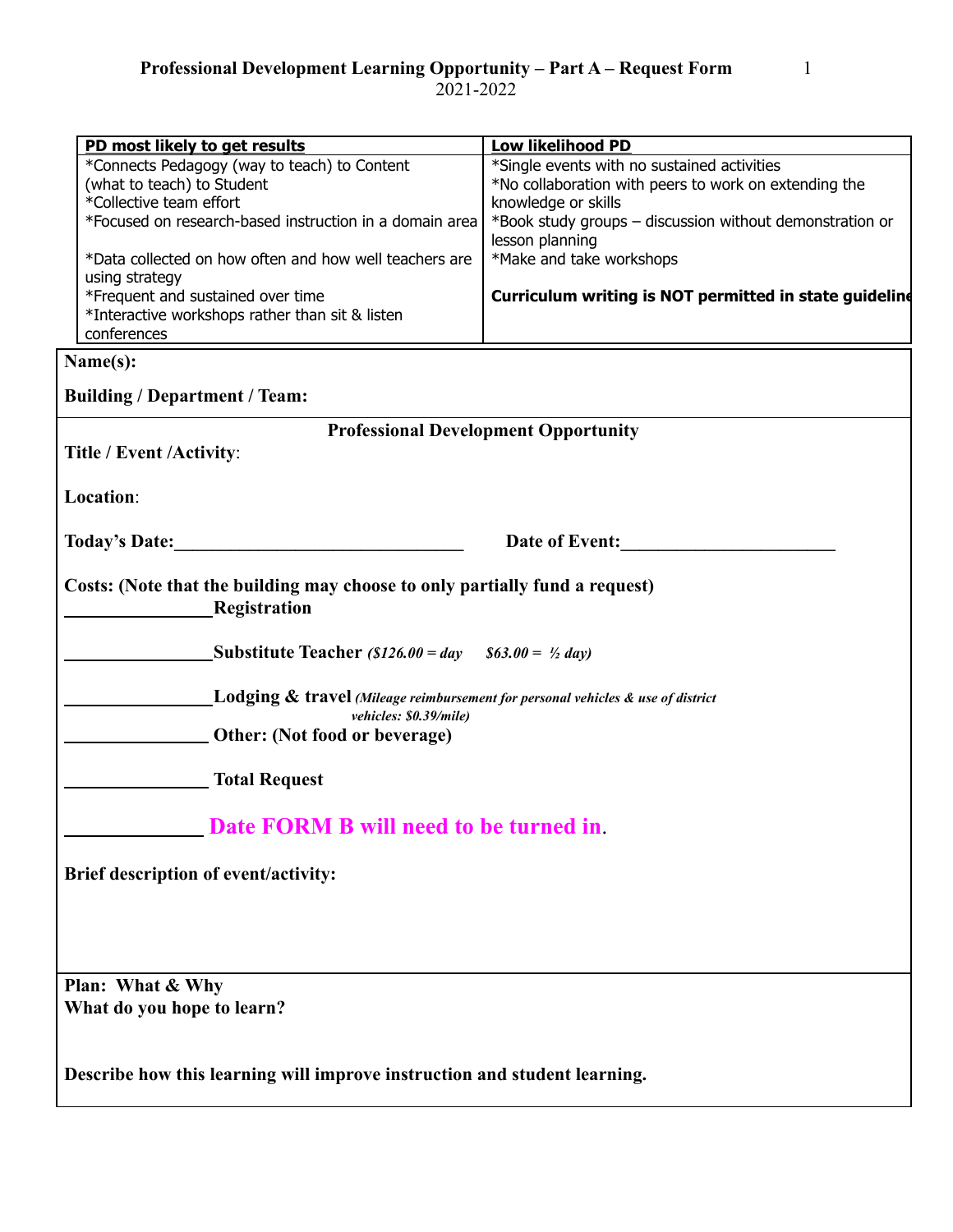2021-2022

| PD most likely to get results                                                                                           | <b>Low likelihood PD</b>                                                    |
|-------------------------------------------------------------------------------------------------------------------------|-----------------------------------------------------------------------------|
| *Connects Pedagogy (way to teach) to Content                                                                            | *Single events with no sustained activities                                 |
| (what to teach) to Student                                                                                              | *No collaboration with peers to work on extending the                       |
| *Collective team effort                                                                                                 | knowledge or skills                                                         |
| *Focused on research-based instruction in a domain area                                                                 | *Book study groups - discussion without demonstration or<br>lesson planning |
| *Data collected on how often and how well teachers are<br>using strategy                                                | *Make and take workshops                                                    |
| *Frequent and sustained over time                                                                                       | Curriculum writing is NOT permitted in state guideline                      |
| *Interactive workshops rather than sit & listen<br>conferences                                                          |                                                                             |
| Name(s):                                                                                                                |                                                                             |
|                                                                                                                         |                                                                             |
| <b>Building / Department / Team:</b>                                                                                    |                                                                             |
| <b>Professional Development Opportunity</b>                                                                             |                                                                             |
| Title / Event / Activity:                                                                                               |                                                                             |
| Location:                                                                                                               |                                                                             |
| <b>Today's Date:</b>                                                                                                    | <b>Date of Event:</b>                                                       |
| Costs: (Note that the building may choose to only partially fund a request)<br>Registration                             |                                                                             |
| Substitute Teacher (\$126.00 = day $$63.00 = Y_2$ day)                                                                  |                                                                             |
| <b>Lodging &amp; travel</b> (Mileage reimbursement for personal vehicles $\&$ use of district<br>vehicles: \$0.39/mile) |                                                                             |
| Other: (Not food or beverage)                                                                                           |                                                                             |
| <b>Total Request</b>                                                                                                    |                                                                             |
| Date FORM B will need to be turned in                                                                                   |                                                                             |
| Brief description of event/activity:                                                                                    |                                                                             |
|                                                                                                                         |                                                                             |
|                                                                                                                         |                                                                             |
|                                                                                                                         |                                                                             |
| Plan: What & Why                                                                                                        |                                                                             |
| What do you hope to learn?                                                                                              |                                                                             |
| Describe how this learning will improve instruction and student learning.                                               |                                                                             |